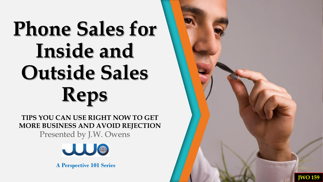# **Phone Sales for Inside and Outside Sales Reps**

Presented by J.W. Owens **TIPS YOU CAN USE RIGHT NOW TO GET MORE BUSINESS AND AVOID REJECTION**



**A Perspective 101 Series**

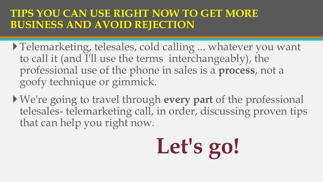#### **TIPS YOU CAN USE RIGHT NOW TO GET MORE BUSINESS AND AVOID REJECTION**

- Telemarketing, telesales, cold calling ... whatever you want to call it (and I'll use the terms interchangeably), the professional use of the phone in sales is a **process**, not a goofy technique or gimmick.
- We're going to travel through **every part** of the professional telesales- telemarketing call, in order, discussing proven tips that can help you right now.

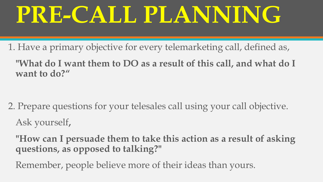# **PRE-CALL PLANNING**

1. Have a primary objective for every telemarketing call, defined as,

**"What do I want them to DO as a result of this call, and what do I want to do?"**

2. Prepare questions for your telesales call using your call objective. Ask yourself**,** 

**"How can I persuade them to take this action as a result of asking questions, as opposed to talking?"** 

Remember, people believe more of their ideas than yours.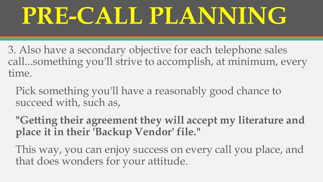# **PRE-CALL PLANNING**

3. Also have a secondary objective for each telephone sales call...something you'll strive to accomplish, at minimum, every time.

Pick something you'll have a reasonably good chance to succeed with, such as,

**"Getting their agreement they will accept my literature and place it in their 'Backup Vendor' file."** 

This way, you can enjoy success on every call you place, and that does wonders for your attitude.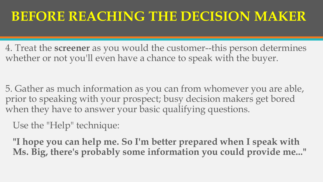#### **BEFORE REACHING THE DECISION MAKER**

4. Treat the **screener** as you would the customer--this person determines whether or not you'll even have a chance to speak with the buyer.

5. Gather as much information as you can from whomever you are able, prior to speaking with your prospect; busy decision makers get bored when they have to answer your basic qualifying questions.

Use the "Help" technique:

**"I hope you can help me. So I'm better prepared when I speak with Ms. Big, there's probably some information you could provide me..."**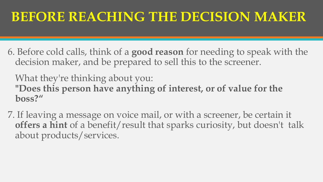#### **BEFORE REACHING THE DECISION MAKER**

6. Before cold calls, think of a **good reason** for needing to speak with the decision maker, and be prepared to sell this to the screener.

What they're thinking about you: **"Does this person have anything of interest, or of value for the boss?"**

7. If leaving a message on voice mail, or with a screener, be certain it **offers a hint** of a benefit/result that sparks curiosity, but doesn't talk about products/services.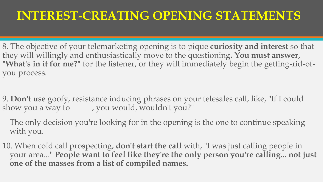#### **INTEREST-CREATING OPENING STATEMENTS**

8. The objective of your telemarketing opening is to pique **curiosity and interest** so that they will willingly and enthusiastically move to the questioning**. You must answer, "What's in it for me?"** for the listener, or they will immediately begin the getting-rid-ofyou process.

9. **Don't use** goofy, resistance inducing phrases on your telesales call, like, "If I could show you a way to \_\_\_\_\_, you would, wouldn't you?"

The only decision you're looking for in the opening is the one to continue speaking with you.

10. When cold call prospecting, **don't start the call** with, "I was just calling people in your area..." **People want to feel like they're the only person you're calling... not just one of the masses from a list of compiled names.**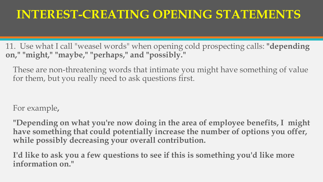#### **INTEREST-CREATING OPENING STATEMENTS**

11. Use what I call "weasel words" when opening cold prospecting calls: **"depending on," "might," "maybe," "perhaps," and "possibly."** 

These are non-threatening words that intimate you might have something of value for them, but you really need to ask questions first.

For example**,** 

**"Depending on what you're now doing in the area of employee benefits, I might have something that could potentially increase the number of options you offer, while possibly decreasing your overall contribution.** 

**I'd like to ask you a few questions to see if this is something you'd like more information on."**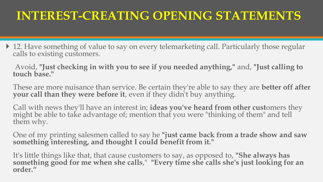#### **INTEREST-CREATING OPENING STATEMENTS**

▶ 12. Have something of value to say on every telemarketing call. Particularly those regular calls to existing customers.

Avoid, **"Just checking in with you to see if you needed anything,"** and, **"Just calling to touch base."**

These are more nuisance than service. Be certain they're able to say they are **better off after your call than they were before it**, even if they didn't buy anything.

Call with news they'll have an interest in; **ideas you've heard from other cust**omers they might be able to take advantage of; mention that you were "thinking of them" and tell them why.

One of my printing salesmen called to say he **"just came back from a trade show and saw something interesting, and thought I could benefit from it."** 

It's little things like that, that cause customers to say, as opposed to, **"She always has something good for me when she calls**," **"Every time she calls she's just looking for an order."**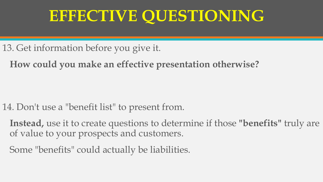- 13. Get information before you give it.
	- **How could you make an effective presentation otherwise?**

- 14. Don't use a "benefit list" to present from.
	- **Instead,** use it to create questions to determine if those **"benefits"** truly are of value to your prospects and customers.
	- Some "benefits" could actually be liabilities.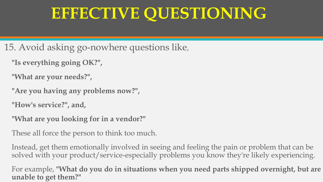- 15. Avoid asking go-nowhere questions like,
	- **"Is everything going OK?",**
	- **"What are your needs?",**
	- **"Are you having any problems now?",**
	- **"How's service?", and,**
	- **"What are you looking for in a vendor?"**
	- These all force the person to think too much.
	- Instead, get them emotionally involved in seeing and feeling the pain or problem that can be solved with your product/service-especially problems you know they're likely experiencing.

For example, **"What do you do in situations when you need parts shipped overnight, but are unable to get them?"**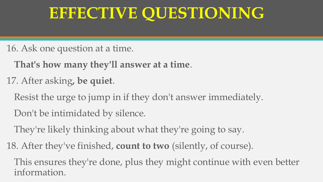- 16. Ask one question at a time.
	- **That's how many they'll answer at a time**.
- 17. After asking**, be quiet**.
	- Resist the urge to jump in if they don't answer immediately.
	- Don't be intimidated by silence.
	- They're likely thinking about what they're going to say.
- 18. After they've finished, **count to two** (silently, of course).
	- This ensures they're done, plus they might continue with even better information.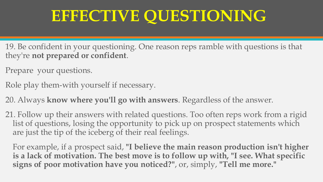- 19. Be confident in your questioning. One reason reps ramble with questions is that they're **not prepared or confident**.
- Prepare your questions.
- Role play them-with yourself if necessary.
- 20. Always **know where you'll go with answers**. Regardless of the answer.
- 21. Follow up their answers with related questions. Too often reps work from a rigid list of questions, losing the opportunity to pick up on prospect statements which are just the tip of the iceberg of their real feelings.

For example, if a prospect said, **"I believe the main reason production isn't higher is a lack of motivation. The best move is to follow up with, "I see. What specific signs of poor motivation have you noticed?"**, or, simply, **"Tell me more."**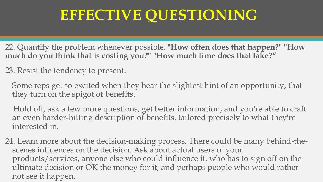- 22. Quantify the problem whenever possible. "**How often does that happen?" "How much do you think that is costing you?" "How much time does that take?"**
- 23. Resist the tendency to present.
	- Some reps get so excited when they hear the slightest hint of an opportunity, that they turn on the spigot of benefits.
	- Hold off, ask a few more questions, get better information, and you're able to craft an even harder-hitting description of benefits, tailored precisely to what they're interested in.
- 24. Learn more about the decision-making process. There could be many behind-thescenes influences on the decision. Ask about actual users of your products/services, anyone else who could influence it, who has to sign off on the ultimate decision or OK the money for it, and perhaps people who would rather not see it happen.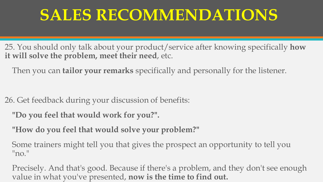## **SALES RECOMMENDATIONS**

25. You should only talk about your product/service after knowing specifically **how it will solve the problem, meet their need**, etc.

Then you can **tailor your remarks** specifically and personally for the listener.

26. Get feedback during your discussion of benefits:

**"Do you feel that would work for you?".** 

**"How do you feel that would solve your problem?"** 

Some trainers might tell you that gives the prospect an opportunity to tell you "no."

Precisely. And that's good. Because if there's a problem, and they don't see enough value in what you've presented, **now is the time to find out.**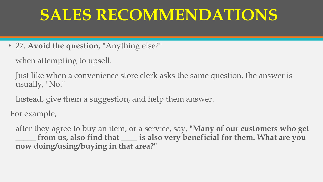## **SALES RECOMMENDATIONS**

• 27. **Avoid the question**, "Anything else?"

when attempting to upsell.

Just like when a convenience store clerk asks the same question, the answer is usually, "No."

Instead, give them a suggestion, and help them answer.

For example,

after they agree to buy an item, or a service, say, **"Many of our customers who get**  from us, also find that \_\_\_\_\_ is also very beneficial for them. What are you **now doing/using/buying in that area?"**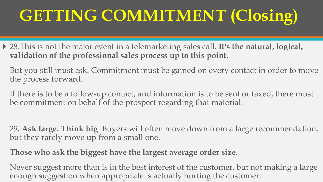## **GETTING COMMITMENT (Closing)**

- ▶ 28. This is not the major event in a telemarketing sales call. It's the natural, logical, **validation of the professional sales process up to this point.**
	- But you still must ask. Commitment must be gained on every contact in order to move the process forward.
	- If there is to be a follow-up contact, and information is to be sent or faxed, there must be commitment on behalf of the prospect regarding that material.
	- 29**. Ask large. Think big**. Buyers will often move down from a large recommendation, but they rarely move up from a small one.
	- **Those who ask the biggest have the largest average order size**.
	- Never suggest more than is in the best interest of the customer, but not making a large enough suggestion when appropriate is actually hurting the customer.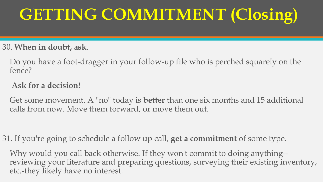## **GETTING COMMITMENT (Closing)**

30. **When in doubt, ask**.

Do you have a foot-dragger in your follow-up file who is perched squarely on the fence?

**Ask for a decision!** 

Get some movement. A "no" today is **better** than one six months and 15 additional calls from now. Move them forward, or move them out.

31. If you're going to schedule a follow up call, **get a commitment** of some type.

Why would you call back otherwise. If they won't commit to doing anything- reviewing your literature and preparing questions, surveying their existing inventory, etc.-they likely have no interest.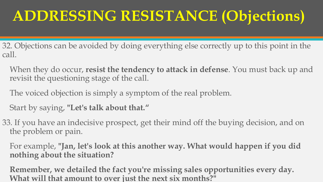## **ADDRESSING RESISTANCE (Objections)**

- 32. Objections can be avoided by doing everything else correctly up to this point in the call.
	- When they do occur, **resist the tendency to attack in defense**. You must back up and revisit the questioning stage of the call.
	- The voiced objection is simply a symptom of the real problem.
	- Start by saying, **"Let's talk about that."**
- 33. If you have an indecisive prospect, get their mind off the buying decision, and on the problem or pain.
	- For example, **"Jan, let's look at this another way. What would happen if you did nothing about the situation?**
	- **Remember, we detailed the fact you're missing sales opportunities every day. What will that amount to over just the next six months?"**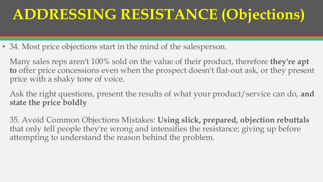## **ADDRESSING RESISTANCE (Objections)**

• 34. Most price objections start in the mind of the salesperson.

Many sales reps aren't 100% sold on the value of their product, therefore **they're apt to** offer price concessions even when the prospect doesn't flat-out ask, or they present price with a shaky tone of voice.

Ask the right questions, present the results of what your product/service can do, **and state the price boldly**

35. Avoid Common Objections Mistakes: **Using slick, prepared, objection rebuttals**  that only tell people they're wrong and intensifies the resistance; giving up before attempting to understand the reason behind the problem.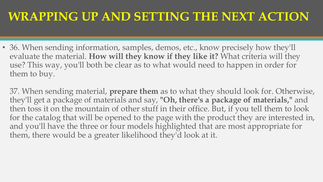#### **WRAPPING UP AND SETTING THE NEXT ACTION**

• 36. When sending information, samples, demos, etc., know precisely how they'll evaluate the material. **How will they know if they like it?** What criteria will they use? This way, you'll both be clear as to what would need to happen in order for them to buy.

37. When sending material, **prepare them** as to what they should look for. Otherwise, they'll get a package of materials and say, **"Oh, there's a package of materials,"** and then toss it on the mountain of other stuff in their office. But, if you tell them to look for the catalog that will be opened to the page with the product they are interested in, and you'll have the three or four models highlighted that are most appropriate for them, there would be a greater likelihood they'd look at it.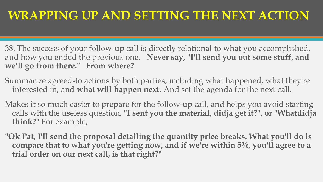#### **WRAPPING UP AND SETTING THE NEXT ACTION**

- 38. The success of your follow-up call is directly relational to what you accomplished, and how you ended the previous one. **Never say, "I'll send you out some stuff, and we'll go from there." From where?**
- Summarize agreed-to actions by both parties, including what happened, what they're interested in, and **what will happen next**. And set the agenda for the next call.
- Makes it so much easier to prepare for the follow-up call, and helps you avoid starting calls with the useless question, **"I sent you the material, didja get it?", or "Whatdidja think?"** For example,
- **"Ok Pat, I'll send the proposal detailing the quantity price breaks. What you'll do is compare that to what you're getting now, and if we're within 5%, you'll agree to a trial order on our next call, is that right?"**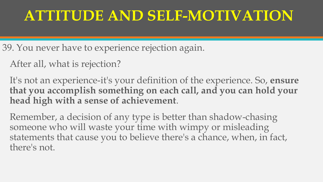#### **ATTITUDE AND SELF-MOTIVATION**

39. You never have to experience rejection again.

After all, what is rejection?

It's not an experience-it's your definition of the experience. So, **ensure that you accomplish something on each call, and you can hold your head high with a sense of achievement**.

Remember, a decision of any type is better than shadow-chasing someone who will waste your time with wimpy or misleading statements that cause you to believe there's a chance, when, in fact, there's not.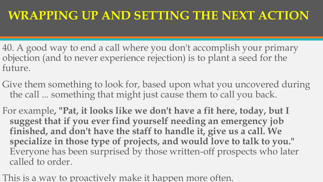#### **WRAPPING UP AND SETTING THE NEXT ACTION**

- 40. A good way to end a call where you don't accomplish your primary objection (and to never experience rejection) is to plant a seed for the future.
- Give them something to look for, based upon what you uncovered during the call ... something that might just cause them to call you back.
- For example**, "Pat, it looks like we don't have a fit here, today, but I suggest that if you ever find yourself needing an emergency job finished, and don't have the staff to handle it, give us a call. We specialize in those type of projects, and would love to talk to you."** Everyone has been surprised by those written-off prospects who later called to order.
- This is a way to proactively make it happen more often.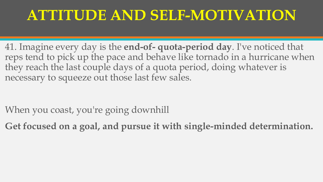### **ATTITUDE AND SELF-MOTIVATION**

41. Imagine every day is the **end-of- quota-period day**. I've noticed that reps tend to pick up the pace and behave like tornado in a hurricane when they reach the last couple days of a quota period, doing whatever is necessary to squeeze out those last few sales.

When you coast, you're going downhill

**Get focused on a goal, and pursue it with single-minded determination.**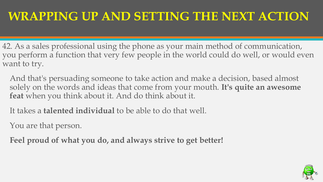#### **WRAPPING UP AND SETTING THE NEXT ACTION**

42. As a sales professional using the phone as your main method of communication, you perform a function that very few people in the world could do well, or would even want to try.

And that's persuading someone to take action and make a decision, based almost solely on the words and ideas that come from your mouth. **It's quite an awesome feat** when you think about it. And do think about it.

It takes a **talented individual** to be able to do that well.

You are that person.

**Feel proud of what you do, and always strive to get better!**